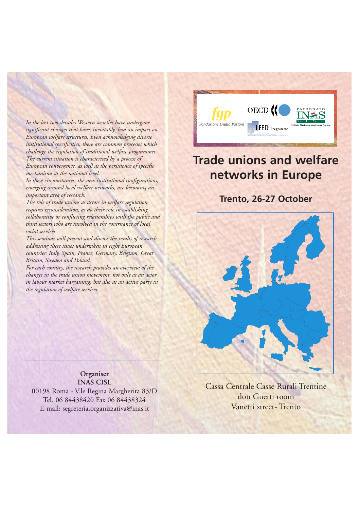*Fondazione Giulio Pastore In the last two decades Western societies have undergone significant changes that have, inevitably, had an impact on European welfare structures. Even acknowledging diverse institutional specificities, there are common processes which challenge the regulation of traditional welfare programmes. The current situation is characterised by a process of European convergence, as well as the persistence of specific mechanisms at the national level.* 

*In these circumstances, the new institutional configurations, emerging around local welfare networks, are becoming an important area of research.* 

*The role of trade unions as actors in welfare regulation requires reconsideration, as do their role in establishing collaborative or conflicting relationships with the public and third sectors who are involved in the governance of local social services.*

*This seminar will present and discuss the results of research addressing these issues undertaken in eight European countries: Italy, Spain, France, Germany, Belgium, Great Britain, Sweden and Poland.*

*For each country, the research provides an overview of the changes in the trade union movement, not only as an actor in labour market bargaining, but also as an active party in the regulation of welfare services.*



# **Trade unions and welfare networks in Europe**

# **Trento, 26-27 October**



**Organiser INAS CISL** 00198 Roma - V.le Regina Margherita 83/D Tel. 06 84438420 Fax 06 84438324 E-mail: segreteria.organizzativa@inas.it

Cassa Centrale Casse Rurali Trentine don Guetti room Vanetti street- Trento